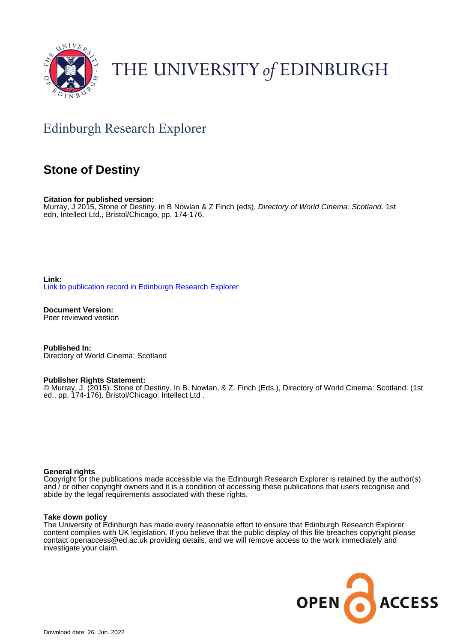

# THE UNIVERSITY of EDINBURGH

## Edinburgh Research Explorer

### **Stone of Destiny**

**Citation for published version:**

Murray, J 2015, Stone of Destiny, in B Nowlan & Z Finch (eds), Directory of World Cinema: Scotland. 1st edn, Intellect Ltd., Bristol/Chicago, pp. 174-176.

**Link:** [Link to publication record in Edinburgh Research Explorer](https://www.research.ed.ac.uk/en/publications/4832fe3d-5488-4ee0-9a0a-32d96da379ce)

**Document Version:** Peer reviewed version

**Published In:** Directory of World Cinema: Scotland

#### **Publisher Rights Statement:**

© Murray, J. (2015). Stone of Destiny. In B. Nowlan, & Z. Finch (Eds.), Directory of World Cinema: Scotland. (1st ed., pp. 174-176). Bristol/Chicago: Intellect Ltd .

#### **General rights**

Copyright for the publications made accessible via the Edinburgh Research Explorer is retained by the author(s) and / or other copyright owners and it is a condition of accessing these publications that users recognise and abide by the legal requirements associated with these rights.

#### **Take down policy**

The University of Edinburgh has made every reasonable effort to ensure that Edinburgh Research Explorer content complies with UK legislation. If you believe that the public display of this file breaches copyright please contact openaccess@ed.ac.uk providing details, and we will remove access to the work immediately and investigate your claim.

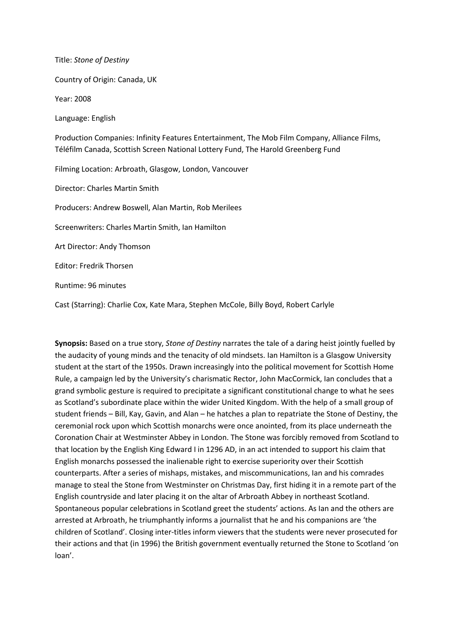Title: *Stone of Destiny* Country of Origin: Canada, UK Year: 2008 Language: English Production Companies: Infinity Features Entertainment, The Mob Film Company, Alliance Films, Téléfilm Canada, Scottish Screen National Lottery Fund, The Harold Greenberg Fund Filming Location: Arbroath, Glasgow, London, Vancouver Director: Charles Martin Smith Producers: Andrew Boswell, Alan Martin, Rob Merilees Screenwriters: Charles Martin Smith, Ian Hamilton Art Director: Andy Thomson Editor: Fredrik Thorsen Runtime: 96 minutes

Cast (Starring): Charlie Cox, Kate Mara, Stephen McCole, Billy Boyd, Robert Carlyle

**Synopsis:** Based on a true story, *Stone of Destiny* narrates the tale of a daring heist jointly fuelled by the audacity of young minds and the tenacity of old mindsets. Ian Hamilton is a Glasgow University student at the start of the 1950s. Drawn increasingly into the political movement for Scottish Home Rule, a campaign led by the University's charismatic Rector, John MacCormick, Ian concludes that a grand symbolic gesture is required to precipitate a significant constitutional change to what he sees as Scotland's subordinate place within the wider United Kingdom. With the help of a small group of student friends – Bill, Kay, Gavin, and Alan – he hatches a plan to repatriate the Stone of Destiny, the ceremonial rock upon which Scottish monarchs were once anointed, from its place underneath the Coronation Chair at Westminster Abbey in London. The Stone was forcibly removed from Scotland to that location by the English King Edward I in 1296 AD, in an act intended to support his claim that English monarchs possessed the inalienable right to exercise superiority over their Scottish counterparts. After a series of mishaps, mistakes, and miscommunications, Ian and his comrades manage to steal the Stone from Westminster on Christmas Day, first hiding it in a remote part of the English countryside and later placing it on the altar of Arbroath Abbey in northeast Scotland. Spontaneous popular celebrations in Scotland greet the students' actions. As Ian and the others are arrested at Arbroath, he triumphantly informs a journalist that he and his companions are 'the children of Scotland'. Closing inter-titles inform viewers that the students were never prosecuted for their actions and that (in 1996) the British government eventually returned the Stone to Scotland 'on loan'.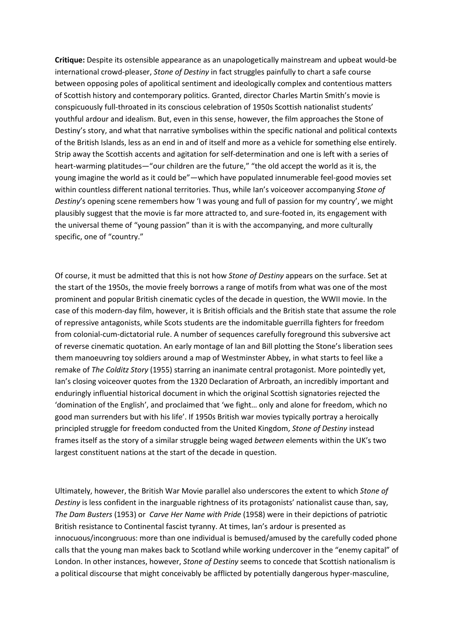**Critique:** Despite its ostensible appearance as an unapologetically mainstream and upbeat would-be international crowd-pleaser, *Stone of Destiny* in fact struggles painfully to chart a safe course between opposing poles of apolitical sentiment and ideologically complex and contentious matters of Scottish history and contemporary politics. Granted, director Charles Martin Smith's movie is conspicuously full-throated in its conscious celebration of 1950s Scottish nationalist students' youthful ardour and idealism. But, even in this sense, however, the film approaches the Stone of Destiny's story, and what that narrative symbolises within the specific national and political contexts of the British Islands, less as an end in and of itself and more as a vehicle for something else entirely. Strip away the Scottish accents and agitation for self-determination and one is left with a series of heart-warming platitudes—"our children are the future," "the old accept the world as it is, the young imagine the world as it could be"—which have populated innumerable feel-good movies set within countless different national territories. Thus, while Ian's voiceover accompanying *Stone of Destiny*'s opening scene remembers how 'I was young and full of passion for my country', we might plausibly suggest that the movie is far more attracted to, and sure-footed in, its engagement with the universal theme of "young passion" than it is with the accompanying, and more culturally specific, one of "country."

Of course, it must be admitted that this is not how *Stone of Destiny* appears on the surface. Set at the start of the 1950s, the movie freely borrows a range of motifs from what was one of the most prominent and popular British cinematic cycles of the decade in question, the WWII movie. In the case of this modern-day film, however, it is British officials and the British state that assume the role of repressive antagonists, while Scots students are the indomitable guerrilla fighters for freedom from colonial-cum-dictatorial rule. A number of sequences carefully foreground this subversive act of reverse cinematic quotation. An early montage of Ian and Bill plotting the Stone's liberation sees them manoeuvring toy soldiers around a map of Westminster Abbey, in what starts to feel like a remake of *The Colditz Story* (1955) starring an inanimate central protagonist. More pointedly yet, Ian's closing voiceover quotes from the 1320 Declaration of Arbroath, an incredibly important and enduringly influential historical document in which the original Scottish signatories rejected the 'domination of the English', and proclaimed that 'we fight… only and alone for freedom, which no good man surrenders but with his life'. If 1950s British war movies typically portray a heroically principled struggle for freedom conducted from the United Kingdom, *Stone of Destiny* instead frames itself as the story of a similar struggle being waged *between* elements within the UK's two largest constituent nations at the start of the decade in question.

Ultimately, however, the British War Movie parallel also underscores the extent to which *Stone of Destiny* is less confident in the inarguable rightness of its protagonists' nationalist cause than, say, *The Dam Busters* (1953) or *Carve Her Name with Pride* (1958) were in their depictions of patriotic British resistance to Continental fascist tyranny. At times, Ian's ardour is presented as innocuous/incongruous: more than one individual is bemused/amused by the carefully coded phone calls that the young man makes back to Scotland while working undercover in the "enemy capital" of London. In other instances, however, *Stone of Destiny* seems to concede that Scottish nationalism is a political discourse that might conceivably be afflicted by potentially dangerous hyper-masculine,